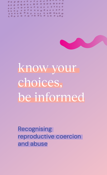



# know your choices, be informed

Recognising reproductive coercion and abuse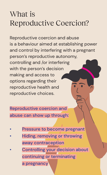## What is Reproductive Coercion?

Reproductive coercion and abuse is a behaviour aimed at establishing power and control by interfering with a pregnant person's reproductive autonomy, controlling and /or interfering with the person's decision making and access to options regarding their reproductive health and reproductive choices.

Reproductive coercion and abuse can show up through:

- Pressure to become pregnant
- Hiding, removing or throwing away contraception
- Controlling your decision about continuing or terminating a pregnancy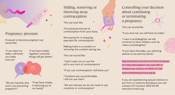

#### Pregnancy pressure

Pressure to become pregnant can sound like:

"If you have my baby, I will know you really love me"

"If we have a baby together, I promise things will get better"



"We are married, why aren't you becoming pregnant?"

"If we have a baby, it will bring joy to my family"

### Hiding, removing or throwing away contraception

This can look like:

The physical removal of contraception from your body.

Not paying for or stopping payment for contraception.

Making holes in a condom or removing the condom during sex.

This can sound like:

"I don't want you to use the pill or any form of contraception"

"If you use contraception I will leave you"

"Condoms are uncomfortable, I will not use them"

"We are married, we do not need to use condoms or contraception"

Controlling your decision about continuing or terminating a pregnancy

This can sound like:

"If you love me, you will have my baby"

"I want a son/daughter, we will continue to have children until we have a son/daughter"

"If you have this baby, you will bring shame to me and my family"

Reproductive coercion is a form of abuse, for help and support you can talk to Children by Choice on 1800 177 725 www.childrenbychoice.org.au

If you are experiencing sexual violence or any form of violence and abuse you can contact DV Connect: 1800 811 811 www.dvconnect.org